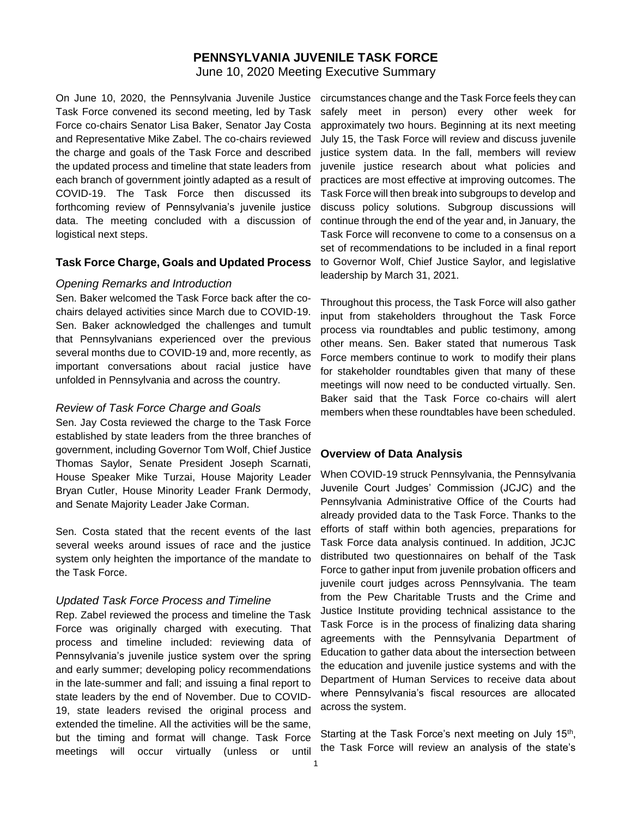# **PENNSYLVANIA JUVENILE TASK FORCE**

June 10, 2020 Meeting Executive Summary

On June 10, 2020, the Pennsylvania Juvenile Justice Task Force convened its second meeting, led by Task Force co-chairs Senator Lisa Baker, Senator Jay Costa and Representative Mike Zabel. The co-chairs reviewed the charge and goals of the Task Force and described the updated process and timeline that state leaders from each branch of government jointly adapted as a result of COVID-19. The Task Force then discussed its forthcoming review of Pennsylvania's juvenile justice data. The meeting concluded with a discussion of logistical next steps.

#### **Task Force Charge, Goals and Updated Process**

#### *Opening Remarks and Introduction*

Sen. Baker welcomed the Task Force back after the cochairs delayed activities since March due to COVID-19. Sen. Baker acknowledged the challenges and tumult that Pennsylvanians experienced over the previous several months due to COVID-19 and, more recently, as important conversations about racial justice have unfolded in Pennsylvania and across the country.

#### *Review of Task Force Charge and Goals*

Sen. Jay Costa reviewed the charge to the Task Force established by state leaders from the three branches of government, including Governor Tom Wolf, Chief Justice Thomas Saylor, Senate President Joseph Scarnati, House Speaker Mike Turzai, House Majority Leader Bryan Cutler, House Minority Leader Frank Dermody, and Senate Majority Leader Jake Corman.

Sen. Costa stated that the recent events of the last several weeks around issues of race and the justice system only heighten the importance of the mandate to the Task Force.

#### *Updated Task Force Process and Timeline*

Rep. Zabel reviewed the process and timeline the Task Force was originally charged with executing. That process and timeline included: reviewing data of Pennsylvania's juvenile justice system over the spring and early summer; developing policy recommendations in the late-summer and fall; and issuing a final report to state leaders by the end of November. Due to COVID-19, state leaders revised the original process and extended the timeline. All the activities will be the same, but the timing and format will change. Task Force meetings will occur virtually (unless or until

circumstances change and the Task Force feels they can safely meet in person) every other week for approximately two hours. Beginning at its next meeting July 15, the Task Force will review and discuss juvenile justice system data. In the fall, members will review juvenile justice research about what policies and practices are most effective at improving outcomes. The Task Force will then break into subgroups to develop and discuss policy solutions. Subgroup discussions will continue through the end of the year and, in January, the Task Force will reconvene to come to a consensus on a set of recommendations to be included in a final report to Governor Wolf, Chief Justice Saylor, and legislative leadership by March 31, 2021.

Throughout this process, the Task Force will also gather input from stakeholders throughout the Task Force process via roundtables and public testimony, among other means. Sen. Baker stated that numerous Task Force members continue to work to modify their plans for stakeholder roundtables given that many of these meetings will now need to be conducted virtually. Sen. Baker said that the Task Force co-chairs will alert members when these roundtables have been scheduled.

#### **Overview of Data Analysis**

When COVID-19 struck Pennsylvania, the Pennsylvania Juvenile Court Judges' Commission (JCJC) and the Pennsylvania Administrative Office of the Courts had already provided data to the Task Force. Thanks to the efforts of staff within both agencies, preparations for Task Force data analysis continued. In addition, JCJC distributed two questionnaires on behalf of the Task Force to gather input from juvenile probation officers and juvenile court judges across Pennsylvania. The team from the Pew Charitable Trusts and the Crime and Justice Institute providing technical assistance to the Task Force is in the process of finalizing data sharing agreements with the Pennsylvania Department of Education to gather data about the intersection between the education and juvenile justice systems and with the Department of Human Services to receive data about where Pennsylvania's fiscal resources are allocated across the system.

Starting at the Task Force's next meeting on July 15<sup>th</sup>, the Task Force will review an analysis of the state's